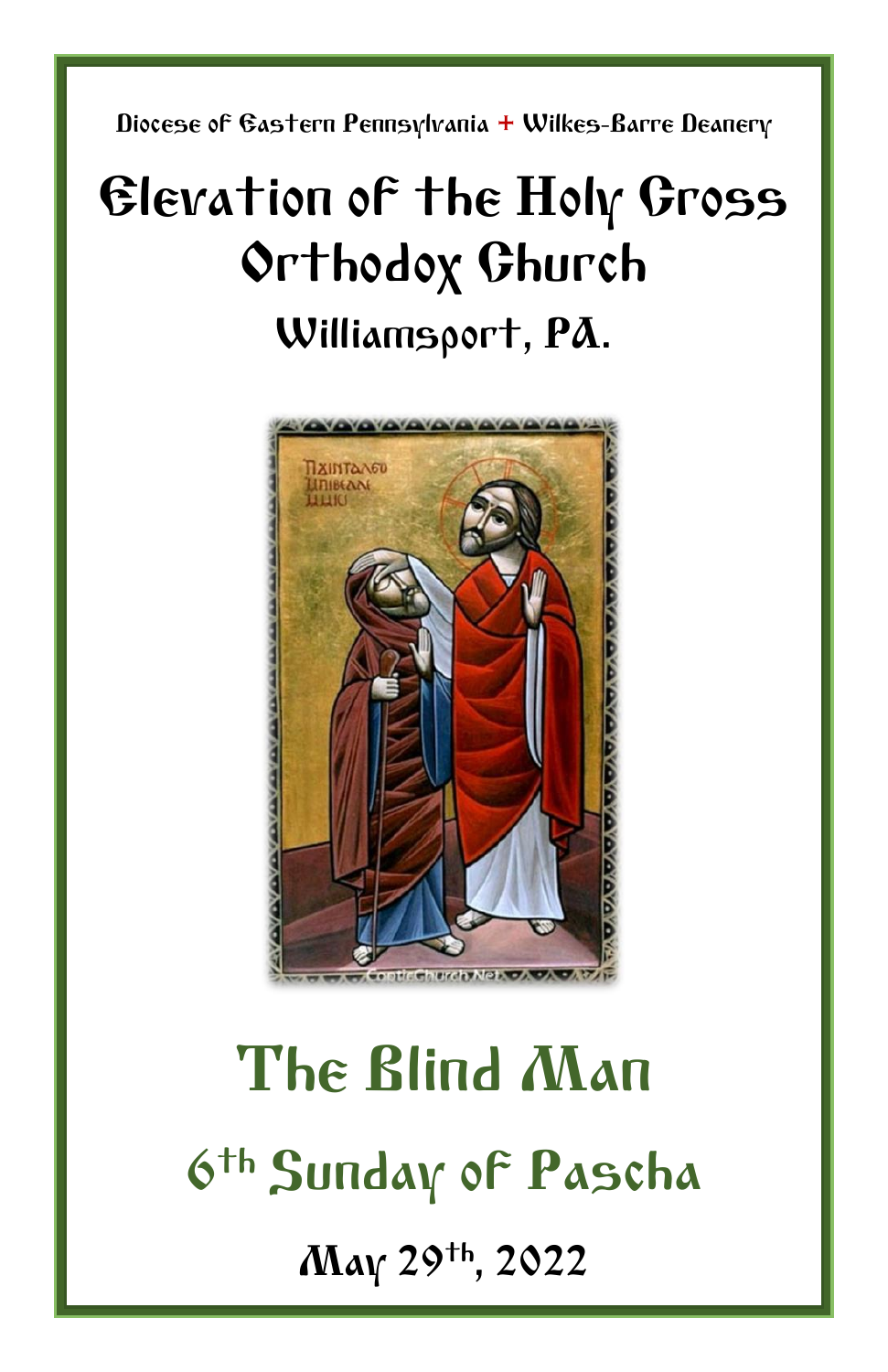Diocese of Eastern Pennsylvania **+** Wilkes-Barre Deanery

# Elevation of the Holy Cross Orthodox Church Williamsport, PA.



# The Blind Man 6 th Sunday of Pascha May 29th, 2022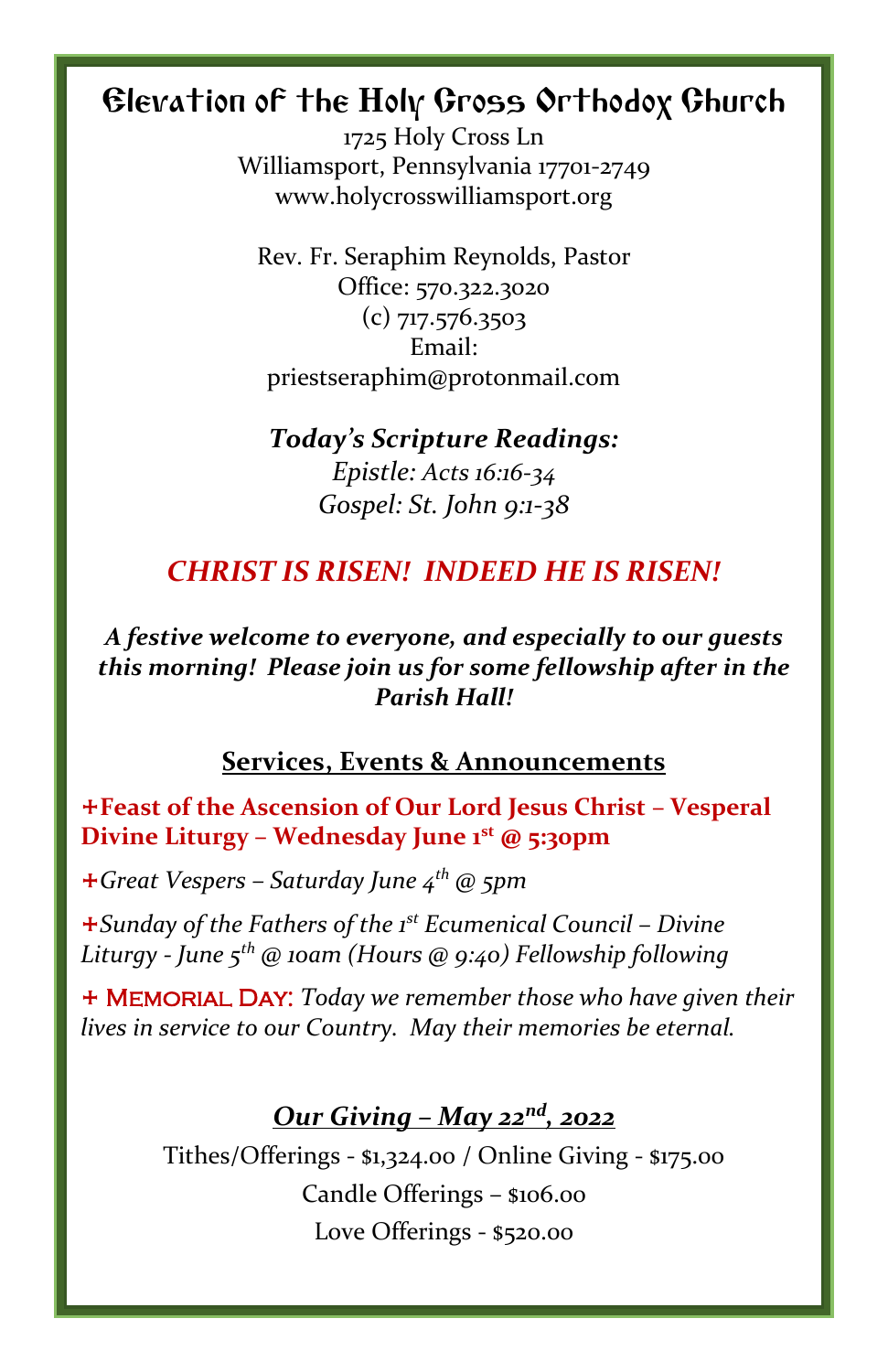# Elevation of the Holy Cross Orthodox Church

1725 Holy Cross Ln Williamsport, Pennsylvania 17701-2749 www.holycrosswilliamsport.org

Rev. Fr. Seraphim Reynolds, Pastor Office: 570.322.3020 (c) 717.576.3503 Email: priestseraphim@protonmail.com

#### *Today's Scripture Readings: Epistle: Acts 16:16-34 Gospel: St. John 9:1-38*

## *CHRIST IS RISEN! INDEED HE IS RISEN!*

#### *A festive welcome to everyone, and especially to our guests this morning! Please join us for some fellowship after in the Parish Hall!*

#### **Services, Events & Announcements**

+**Feast of the Ascension of Our Lord Jesus Christ – Vesperal Divine Liturgy – Wednesday June 1st @ 5:30pm**

+*Great Vespers – Saturday June 4 th @ 5pm*

+*Sunday of the Fathers of the 1st Ecumenical Council – Divine Liturgy - June 5 th @ 10am (Hours @ 9:40) Fellowship following*

+ Memorial Day: *Today we remember those who have given their lives in service to our Country. May their memories be eternal.*

#### *Our Giving – May 22nd , 2022*

Tithes/Offerings - \$1,324.00 / Online Giving - \$175.00 Candle Offerings – \$106.00 Love Offerings - \$520.00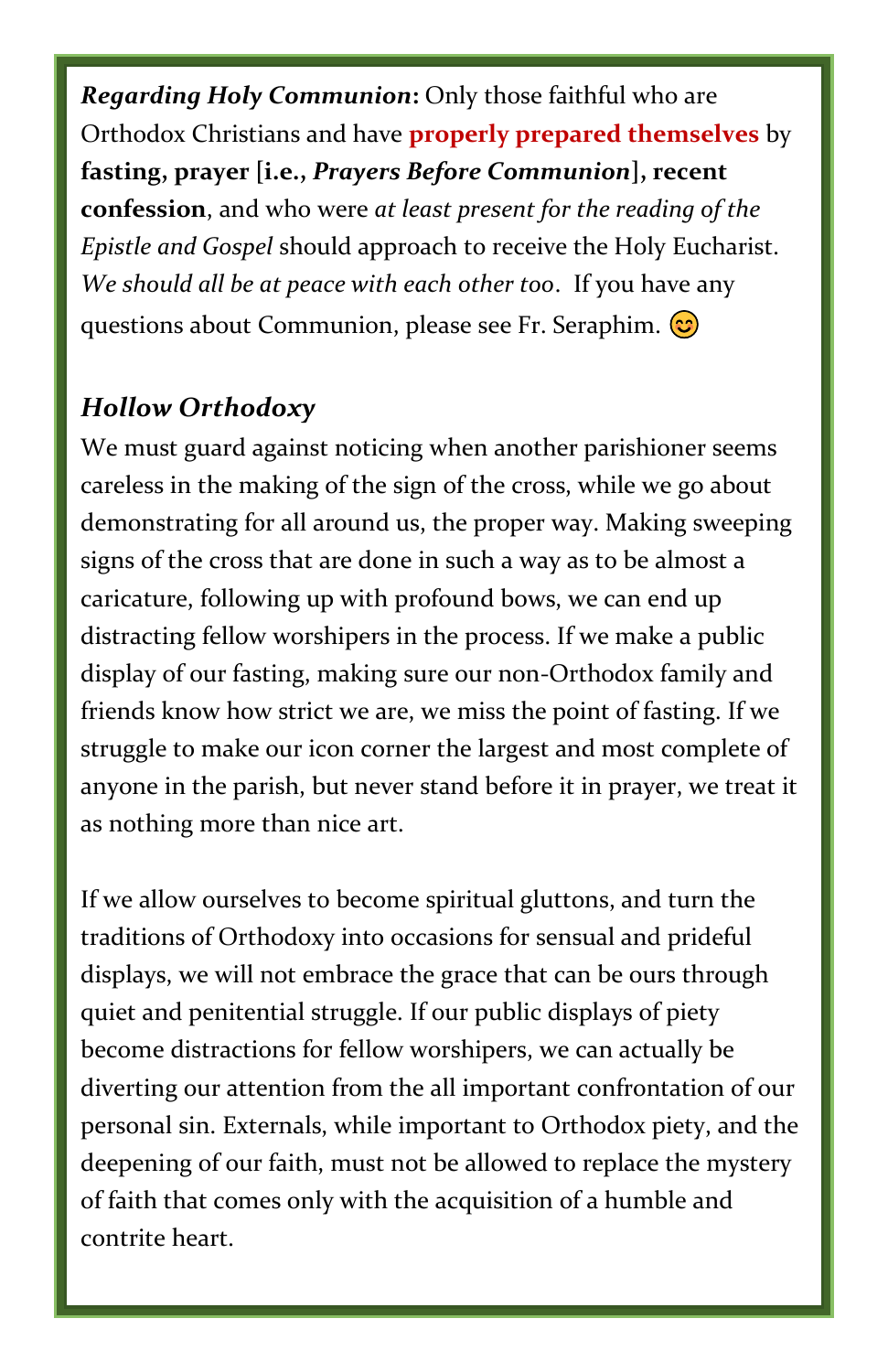*Regarding Holy Communion***:** Only those faithful who are Orthodox Christians and have **properly prepared themselves** by **fasting, prayer [i.e.,** *Prayers Before Communion***], recent confession**, and who were *at least present for the reading of the Epistle and Gospel* should approach to receive the Holy Eucharist. *We should all be at peace with each other too*. If you have any questions about Communion, please see Fr. Seraphim.

### *Hollow Orthodoxy*

We must guard against noticing when another parishioner seems careless in the making of the sign of the cross, while we go about demonstrating for all around us, the proper way. Making sweeping signs of the cross that are done in such a way as to be almost a caricature, following up with profound bows, we can end up distracting fellow worshipers in the process. If we make a public display of our fasting, making sure our non-Orthodox family and friends know how strict we are, we miss the point of fasting. If we struggle to make our icon corner the largest and most complete of anyone in the parish, but never stand before it in prayer, we treat it as nothing more than nice art.

If we allow ourselves to become spiritual gluttons, and turn the traditions of Orthodoxy into occasions for sensual and prideful displays, we will not embrace the grace that can be ours through quiet and penitential struggle. If our public displays of piety become distractions for fellow worshipers, we can actually be diverting our attention from the all important confrontation of our personal sin. Externals, while important to Orthodox piety, and the deepening of our faith, must not be allowed to replace the mystery of faith that comes only with the acquisition of a humble and contrite heart.